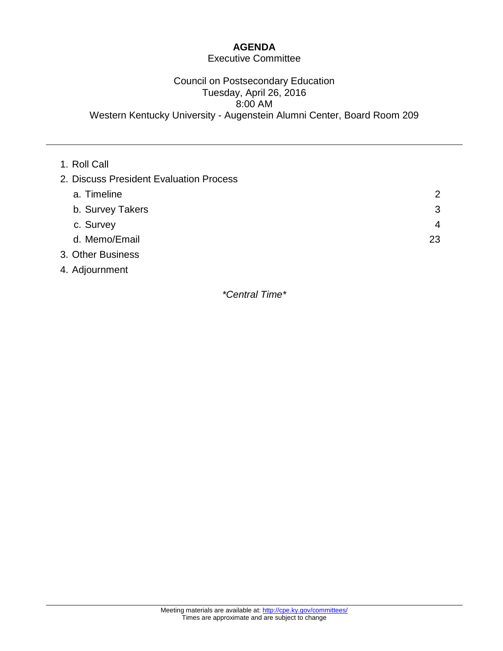# **AGENDA**

# Executive Committee

## Council on Postsecondary Education Tuesday, April 26, 2016 8:00 AM Western Kentucky University - Augenstein Alumni Center, Board Room 209

| 1. Roll Call                            |                |
|-----------------------------------------|----------------|
| 2. Discuss President Evaluation Process |                |
| a. Timeline                             | $\overline{2}$ |
| b. Survey Takers                        | 3              |
| c. Survey                               | $\overline{4}$ |
| d. Memo/Email                           | 23             |
| 3. Other Business                       |                |
| 4. Adjournment                          |                |

*\*Central Time\**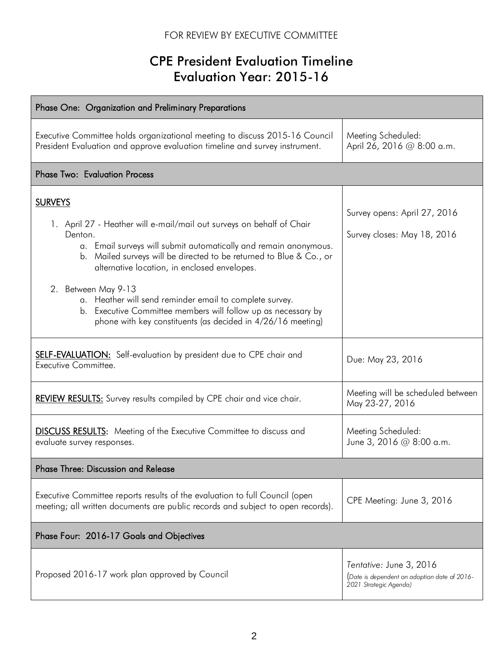# FOR REVIEW BY EXECUTIVE COMMITTEE

# CPE President Evaluation Timeline Evaluation Year: 2015-16

| Phase One: Organization and Preliminary Preparations                                                                                                                                                                                                                                                                                                                                                                                                                                                            |                                                                                                   |
|-----------------------------------------------------------------------------------------------------------------------------------------------------------------------------------------------------------------------------------------------------------------------------------------------------------------------------------------------------------------------------------------------------------------------------------------------------------------------------------------------------------------|---------------------------------------------------------------------------------------------------|
| Executive Committee holds organizational meeting to discuss 2015-16 Council<br>President Evaluation and approve evaluation timeline and survey instrument.                                                                                                                                                                                                                                                                                                                                                      | Meeting Scheduled:<br>April 26, 2016 @ 8:00 a.m.                                                  |
| <b>Phase Two: Evaluation Process</b>                                                                                                                                                                                                                                                                                                                                                                                                                                                                            |                                                                                                   |
| <b>SURVEYS</b><br>1. April 27 - Heather will e-mail/mail out surveys on behalf of Chair<br>Denton.<br>a. Email surveys will submit automatically and remain anonymous.<br>b. Mailed surveys will be directed to be returned to Blue & Co., or<br>alternative location, in enclosed envelopes.<br>2. Between May 9-13<br>a. Heather will send reminder email to complete survey.<br>b. Executive Committee members will follow up as necessary by<br>phone with key constituents (as decided in 4/26/16 meeting) | Survey opens: April 27, 2016<br>Survey closes: May 18, 2016                                       |
| <b>SELF-EVALUATION:</b> Self-evaluation by president due to CPE chair and<br>Executive Committee.                                                                                                                                                                                                                                                                                                                                                                                                               | Due: May 23, 2016                                                                                 |
| <b>REVIEW RESULTS:</b> Survey results compiled by CPE chair and vice chair.                                                                                                                                                                                                                                                                                                                                                                                                                                     | Meeting will be scheduled between<br>May 23-27, 2016                                              |
| <b>DISCUSS RESULTS:</b> Meeting of the Executive Committee to discuss and<br>evaluate survey responses.                                                                                                                                                                                                                                                                                                                                                                                                         | Meeting Scheduled:<br>June 3, 2016 @ 8:00 a.m.                                                    |
| Phase Three: Discussion and Release                                                                                                                                                                                                                                                                                                                                                                                                                                                                             |                                                                                                   |
| Executive Committee reports results of the evaluation to full Council (open<br>meeting; all written documents are public records and subject to open records).                                                                                                                                                                                                                                                                                                                                                  | CPE Meeting: June 3, 2016                                                                         |
| Phase Four: 2016-17 Goals and Objectives                                                                                                                                                                                                                                                                                                                                                                                                                                                                        |                                                                                                   |
| Proposed 2016-17 work plan approved by Council                                                                                                                                                                                                                                                                                                                                                                                                                                                                  | Tentative: June 3, 2016<br>(Date is dependent on adoption date of 2016-<br>2021 Strategic Agenda) |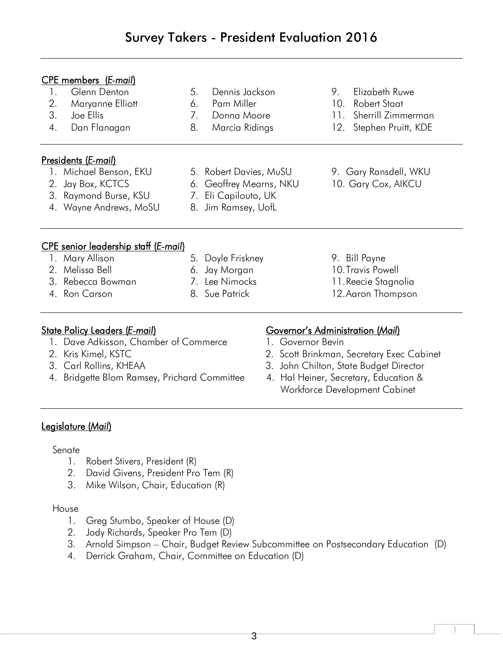# Survey Takers - President Evaluation 2016

| <b>CPE</b> members ( <i>E-mail</i> )<br>Glenn Denton<br>1.<br>2.<br>Maryanne Elliott<br>3.<br>Joe Ellis<br>4.<br>Dan Flanagan                                                   | Dennis Jackson<br>5.<br>6.<br>Pam Miller<br>7 <sub>1</sub><br>Donna Moore<br>8.<br>Marcia Ridings | 9.                                                           | Elizabeth Ruwe<br>10. Robert Staat<br>11. Sherrill Zimmerman<br>12. Stephen Pruitt, KDE                                                                       |
|---------------------------------------------------------------------------------------------------------------------------------------------------------------------------------|---------------------------------------------------------------------------------------------------|--------------------------------------------------------------|---------------------------------------------------------------------------------------------------------------------------------------------------------------|
| Presidents (E-mail)<br>1. Michael Benson, EKU<br>Jay Box, KCTCS<br>2.<br>3. Raymond Burse, KSU<br>4. Wayne Andrews, MoSU                                                        | 5. Robert Davies, MuSU<br>6. Geoffrey Mearns, NKU<br>7. Eli Capilouto, UK<br>8. Jim Ramsey, UofL  |                                                              | 9. Gary Ransdell, WKU<br>10. Gary Cox, AIKCU                                                                                                                  |
| <b>CPE</b> senior leadership staff (E-mail)<br>1. Mary Allison<br>2. Melissa Bell<br>3. Rebecca Bowman<br>4. Ron Carson                                                         | 5. Doyle Friskney<br>6. Jay Morgan<br>7. Lee Nimocks<br>8. Sue Patrick                            |                                                              | 9. Bill Payne<br>10. Travis Powell<br>11. Reecie Stagnolia<br>12. Aaron Thompson                                                                              |
| <u> State Policy Leaders (E-mail)</u><br>1. Dave Adkisson, Chamber of Commerce<br>2. Kris Kimel, KSTC<br>3. Carl Rollins, KHEAA<br>4. Bridgette Blom Ramsey, Prichard Committee |                                                                                                   | <u>Governor's Administration (Mail)</u><br>1. Governor Bevin | 2. Scott Brinkman, Secretary Exec Cabinet<br>3. John Chilton, State Budget Director<br>4. Hal Heiner, Secretary, Education &<br>Workforce Development Cabinet |

# Legislature (*Mail*)

# Senate

- 1. Robert Stivers, President (R)
- 2. David Givens, President Pro Tem (R)
- 3. Mike Wilson, Chair, Education (R)

### House

- 1. Greg Stumbo, Speaker of House (D)
- 2. Jody Richards, Speaker Pro Tem (D)
- 3. Arnold Simpson Chair, Budget Review Subcommittee on Postsecondary Education (D)
- 4. Derrick Graham, Chair, Committee on Education (D)

1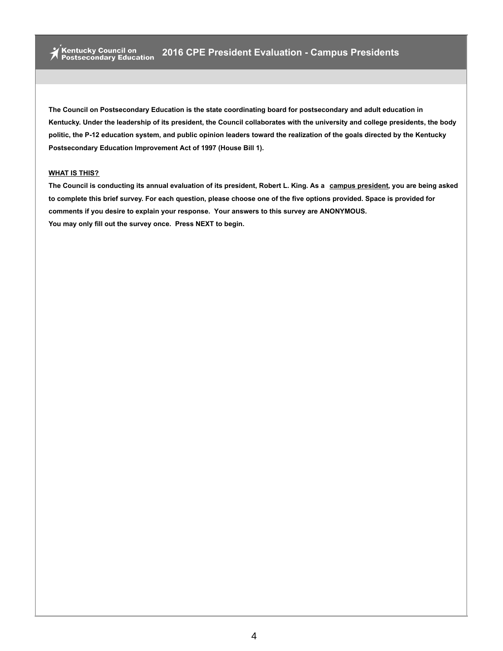#### **WHAT IS THIS?**

The Council is conducting its annual evaluation of its president, Robert L. King. As a campus president, you are being asked to complete this brief survey. For each question, please choose one of the five options provided. Space is provided for **comments if you desire to explain your response. Your answers to this survey are ANONYMOUS. You may only fill out the survey once. Press NEXT to begin.**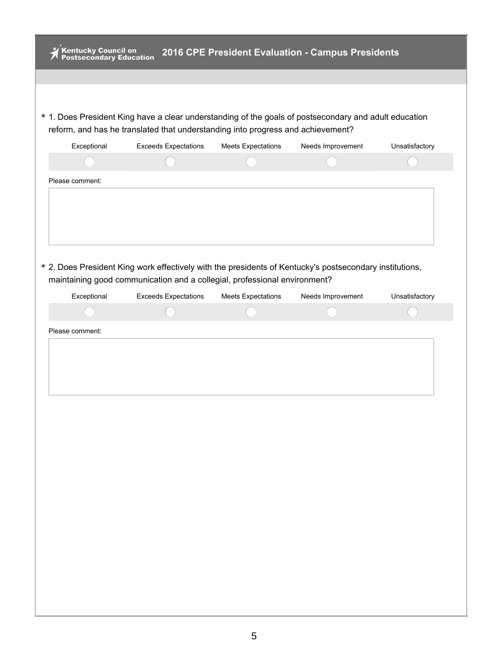| * 1. Does President King have a clear understanding of the goals of postsecondary and adult education<br>reform, and has he translated that understanding into progress and achievement?<br>Exceptional<br><b>Exceeds Expectations</b><br><b>Meets Expectations</b><br>Needs Improvement<br>Unsatisfactory<br>* 2. Does President King work effectively with the presidents of Kentucky's postsecondary institutions,<br>maintaining good communication and a collegial, professional environment?<br>Exceptional<br><b>Exceeds Expectations</b><br><b>Meets Expectations</b><br>Needs Improvement<br>Unsatisfactory | .<br>Kentucky Council on<br>Postsecondary Education |  | 2016 CPE President Evaluation - Campus Presidents |  |
|----------------------------------------------------------------------------------------------------------------------------------------------------------------------------------------------------------------------------------------------------------------------------------------------------------------------------------------------------------------------------------------------------------------------------------------------------------------------------------------------------------------------------------------------------------------------------------------------------------------------|-----------------------------------------------------|--|---------------------------------------------------|--|
|                                                                                                                                                                                                                                                                                                                                                                                                                                                                                                                                                                                                                      |                                                     |  |                                                   |  |
|                                                                                                                                                                                                                                                                                                                                                                                                                                                                                                                                                                                                                      |                                                     |  |                                                   |  |
|                                                                                                                                                                                                                                                                                                                                                                                                                                                                                                                                                                                                                      |                                                     |  |                                                   |  |
|                                                                                                                                                                                                                                                                                                                                                                                                                                                                                                                                                                                                                      |                                                     |  |                                                   |  |
|                                                                                                                                                                                                                                                                                                                                                                                                                                                                                                                                                                                                                      |                                                     |  |                                                   |  |
|                                                                                                                                                                                                                                                                                                                                                                                                                                                                                                                                                                                                                      |                                                     |  |                                                   |  |
|                                                                                                                                                                                                                                                                                                                                                                                                                                                                                                                                                                                                                      | Please comment:                                     |  |                                                   |  |
|                                                                                                                                                                                                                                                                                                                                                                                                                                                                                                                                                                                                                      |                                                     |  |                                                   |  |
|                                                                                                                                                                                                                                                                                                                                                                                                                                                                                                                                                                                                                      |                                                     |  |                                                   |  |
|                                                                                                                                                                                                                                                                                                                                                                                                                                                                                                                                                                                                                      |                                                     |  |                                                   |  |
|                                                                                                                                                                                                                                                                                                                                                                                                                                                                                                                                                                                                                      | Please comment:                                     |  |                                                   |  |
|                                                                                                                                                                                                                                                                                                                                                                                                                                                                                                                                                                                                                      |                                                     |  |                                                   |  |
|                                                                                                                                                                                                                                                                                                                                                                                                                                                                                                                                                                                                                      |                                                     |  |                                                   |  |
|                                                                                                                                                                                                                                                                                                                                                                                                                                                                                                                                                                                                                      |                                                     |  |                                                   |  |
|                                                                                                                                                                                                                                                                                                                                                                                                                                                                                                                                                                                                                      |                                                     |  |                                                   |  |
|                                                                                                                                                                                                                                                                                                                                                                                                                                                                                                                                                                                                                      |                                                     |  |                                                   |  |
|                                                                                                                                                                                                                                                                                                                                                                                                                                                                                                                                                                                                                      |                                                     |  |                                                   |  |
|                                                                                                                                                                                                                                                                                                                                                                                                                                                                                                                                                                                                                      |                                                     |  |                                                   |  |
|                                                                                                                                                                                                                                                                                                                                                                                                                                                                                                                                                                                                                      |                                                     |  |                                                   |  |
|                                                                                                                                                                                                                                                                                                                                                                                                                                                                                                                                                                                                                      |                                                     |  |                                                   |  |
|                                                                                                                                                                                                                                                                                                                                                                                                                                                                                                                                                                                                                      |                                                     |  |                                                   |  |
|                                                                                                                                                                                                                                                                                                                                                                                                                                                                                                                                                                                                                      |                                                     |  |                                                   |  |
|                                                                                                                                                                                                                                                                                                                                                                                                                                                                                                                                                                                                                      |                                                     |  |                                                   |  |
|                                                                                                                                                                                                                                                                                                                                                                                                                                                                                                                                                                                                                      |                                                     |  |                                                   |  |
|                                                                                                                                                                                                                                                                                                                                                                                                                                                                                                                                                                                                                      |                                                     |  |                                                   |  |
|                                                                                                                                                                                                                                                                                                                                                                                                                                                                                                                                                                                                                      |                                                     |  |                                                   |  |
|                                                                                                                                                                                                                                                                                                                                                                                                                                                                                                                                                                                                                      |                                                     |  |                                                   |  |
|                                                                                                                                                                                                                                                                                                                                                                                                                                                                                                                                                                                                                      |                                                     |  |                                                   |  |
|                                                                                                                                                                                                                                                                                                                                                                                                                                                                                                                                                                                                                      |                                                     |  |                                                   |  |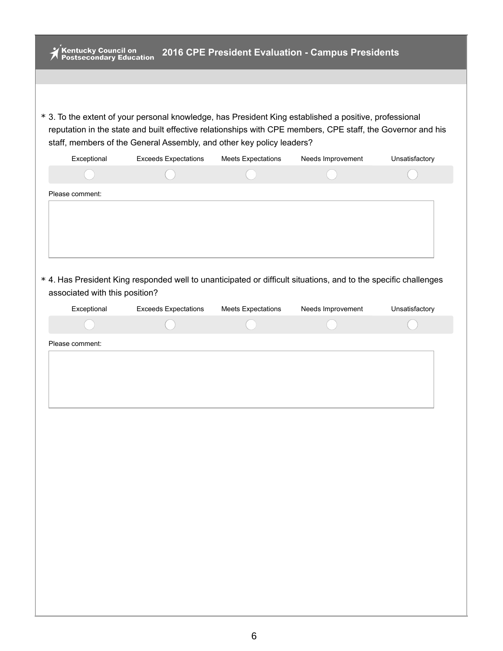| Kentucky Council on<br>Postsecondary Education | 2016 CPE President Evaluation - Campus Presidents                                                                                                                                                                                                                                              |                           |                   |                |
|------------------------------------------------|------------------------------------------------------------------------------------------------------------------------------------------------------------------------------------------------------------------------------------------------------------------------------------------------|---------------------------|-------------------|----------------|
|                                                | * 3. To the extent of your personal knowledge, has President King established a positive, professional<br>reputation in the state and built effective relationships with CPE members, CPE staff, the Governor and his<br>staff, members of the General Assembly, and other key policy leaders? |                           |                   |                |
| Exceptional                                    | <b>Exceeds Expectations</b>                                                                                                                                                                                                                                                                    | <b>Meets Expectations</b> | Needs Improvement | Unsatisfactory |
|                                                |                                                                                                                                                                                                                                                                                                |                           |                   |                |
|                                                | * 4. Has President King responded well to unanticipated or difficult situations, and to the specific challenges                                                                                                                                                                                |                           |                   |                |
| associated with this position?                 |                                                                                                                                                                                                                                                                                                |                           |                   |                |
|                                                |                                                                                                                                                                                                                                                                                                |                           |                   |                |
| Exceptional                                    | <b>Exceeds Expectations</b>                                                                                                                                                                                                                                                                    | <b>Meets Expectations</b> | Needs Improvement | Unsatisfactory |
| Please comment:                                |                                                                                                                                                                                                                                                                                                |                           |                   |                |
|                                                |                                                                                                                                                                                                                                                                                                |                           |                   |                |
|                                                |                                                                                                                                                                                                                                                                                                |                           |                   |                |
|                                                |                                                                                                                                                                                                                                                                                                |                           |                   |                |
|                                                |                                                                                                                                                                                                                                                                                                |                           |                   |                |
|                                                |                                                                                                                                                                                                                                                                                                |                           |                   |                |
|                                                |                                                                                                                                                                                                                                                                                                |                           |                   |                |
|                                                |                                                                                                                                                                                                                                                                                                |                           |                   |                |
|                                                |                                                                                                                                                                                                                                                                                                |                           |                   |                |
|                                                |                                                                                                                                                                                                                                                                                                |                           |                   |                |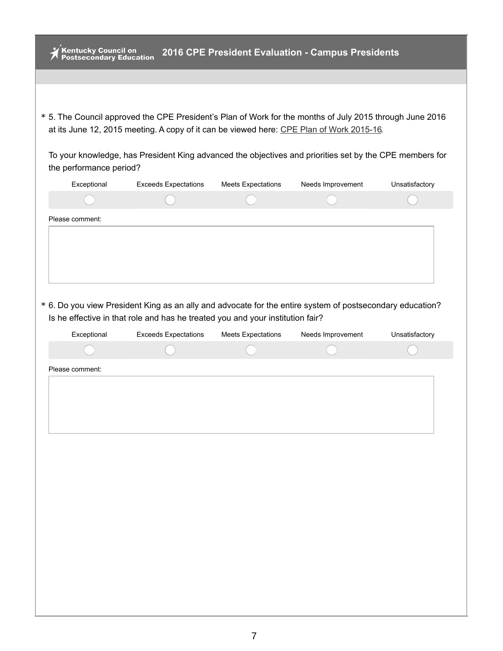| Kentucky Council on<br>Postsecondary Education |                                                                                                                                                                                                      |                           | 2016 CPE President Evaluation - Campus Presidents |                |
|------------------------------------------------|------------------------------------------------------------------------------------------------------------------------------------------------------------------------------------------------------|---------------------------|---------------------------------------------------|----------------|
|                                                |                                                                                                                                                                                                      |                           |                                                   |                |
|                                                |                                                                                                                                                                                                      |                           |                                                   |                |
|                                                |                                                                                                                                                                                                      |                           |                                                   |                |
|                                                | * 5. The Council approved the CPE President's Plan of Work for the months of July 2015 through June 2016<br>at its June 12, 2015 meeting. A copy of it can be viewed here: CPE Plan of Work 2015-16. |                           |                                                   |                |
| the performance period?                        | To your knowledge, has President King advanced the objectives and priorities set by the CPE members for                                                                                              |                           |                                                   |                |
| Exceptional                                    | <b>Exceeds Expectations</b>                                                                                                                                                                          | <b>Meets Expectations</b> | Needs Improvement                                 | Unsatisfactory |
|                                                |                                                                                                                                                                                                      |                           |                                                   |                |
| Please comment:                                |                                                                                                                                                                                                      |                           |                                                   |                |
|                                                |                                                                                                                                                                                                      |                           |                                                   |                |
|                                                |                                                                                                                                                                                                      |                           |                                                   |                |
|                                                |                                                                                                                                                                                                      |                           |                                                   |                |
|                                                |                                                                                                                                                                                                      |                           |                                                   |                |
|                                                | * 6. Do you view President King as an ally and advocate for the entire system of postsecondary education?                                                                                            |                           |                                                   |                |
|                                                | Is he effective in that role and has he treated you and your institution fair?                                                                                                                       |                           |                                                   |                |
| Exceptional                                    |                                                                                                                                                                                                      |                           |                                                   |                |
|                                                | <b>Exceeds Expectations</b>                                                                                                                                                                          | <b>Meets Expectations</b> | Needs Improvement                                 | Unsatisfactory |
|                                                |                                                                                                                                                                                                      |                           |                                                   |                |
| Please comment:                                |                                                                                                                                                                                                      |                           |                                                   |                |
|                                                |                                                                                                                                                                                                      |                           |                                                   |                |
|                                                |                                                                                                                                                                                                      |                           |                                                   |                |
|                                                |                                                                                                                                                                                                      |                           |                                                   |                |
|                                                |                                                                                                                                                                                                      |                           |                                                   |                |
|                                                |                                                                                                                                                                                                      |                           |                                                   |                |
|                                                |                                                                                                                                                                                                      |                           |                                                   |                |
|                                                |                                                                                                                                                                                                      |                           |                                                   |                |
|                                                |                                                                                                                                                                                                      |                           |                                                   |                |
|                                                |                                                                                                                                                                                                      |                           |                                                   |                |
|                                                |                                                                                                                                                                                                      |                           |                                                   |                |
|                                                |                                                                                                                                                                                                      |                           |                                                   |                |
|                                                |                                                                                                                                                                                                      |                           |                                                   |                |
|                                                |                                                                                                                                                                                                      |                           |                                                   |                |
|                                                |                                                                                                                                                                                                      |                           |                                                   |                |
|                                                |                                                                                                                                                                                                      |                           |                                                   |                |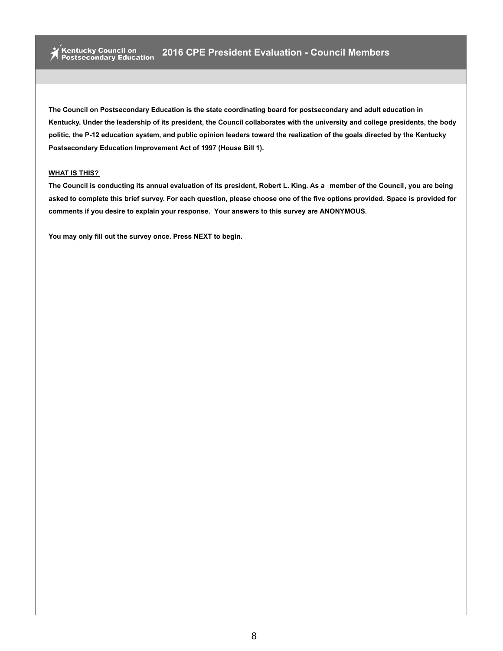#### **WHAT IS THIS?**

The Council is conducting its annual evaluation of its president, Robert L. King. As a member of the Council, you are being asked to complete this brief survey. For each question, please choose one of the five options provided. Space is provided for **comments if you desire to explain your response. Your answers to this survey are ANONYMOUS.**

**You may only fill out the survey once. Press NEXT to begin.**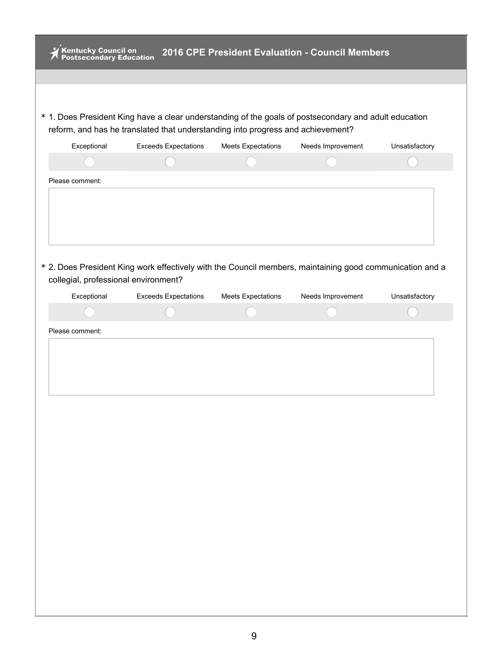| ,<br>Kentucky Council on<br>Postsecondary Education |                                                                                                          |                           | 2016 CPE President Evaluation - Council Members |                |
|-----------------------------------------------------|----------------------------------------------------------------------------------------------------------|---------------------------|-------------------------------------------------|----------------|
|                                                     |                                                                                                          |                           |                                                 |                |
|                                                     |                                                                                                          |                           |                                                 |                |
|                                                     | * 1. Does President King have a clear understanding of the goals of postsecondary and adult education    |                           |                                                 |                |
|                                                     | reform, and has he translated that understanding into progress and achievement?                          |                           |                                                 |                |
| Exceptional                                         | <b>Exceeds Expectations</b>                                                                              | <b>Meets Expectations</b> | Needs Improvement                               | Unsatisfactory |
|                                                     |                                                                                                          |                           |                                                 |                |
| Please comment:                                     |                                                                                                          |                           |                                                 |                |
|                                                     |                                                                                                          |                           |                                                 |                |
|                                                     |                                                                                                          |                           |                                                 |                |
|                                                     |                                                                                                          |                           |                                                 |                |
|                                                     |                                                                                                          |                           |                                                 |                |
|                                                     | * 2. Does President King work effectively with the Council members, maintaining good communication and a |                           |                                                 |                |
| collegial, professional environment?<br>Exceptional | <b>Exceeds Expectations</b>                                                                              | <b>Meets Expectations</b> | Needs Improvement                               | Unsatisfactory |
|                                                     |                                                                                                          |                           |                                                 |                |
|                                                     |                                                                                                          |                           |                                                 |                |
|                                                     |                                                                                                          |                           |                                                 |                |
| Please comment:                                     |                                                                                                          |                           |                                                 |                |
|                                                     |                                                                                                          |                           |                                                 |                |
|                                                     |                                                                                                          |                           |                                                 |                |
|                                                     |                                                                                                          |                           |                                                 |                |
|                                                     |                                                                                                          |                           |                                                 |                |
|                                                     |                                                                                                          |                           |                                                 |                |
|                                                     |                                                                                                          |                           |                                                 |                |
|                                                     |                                                                                                          |                           |                                                 |                |
|                                                     |                                                                                                          |                           |                                                 |                |
|                                                     |                                                                                                          |                           |                                                 |                |
|                                                     |                                                                                                          |                           |                                                 |                |
|                                                     |                                                                                                          |                           |                                                 |                |
|                                                     |                                                                                                          |                           |                                                 |                |
|                                                     |                                                                                                          |                           |                                                 |                |
|                                                     |                                                                                                          |                           |                                                 |                |
|                                                     |                                                                                                          |                           |                                                 |                |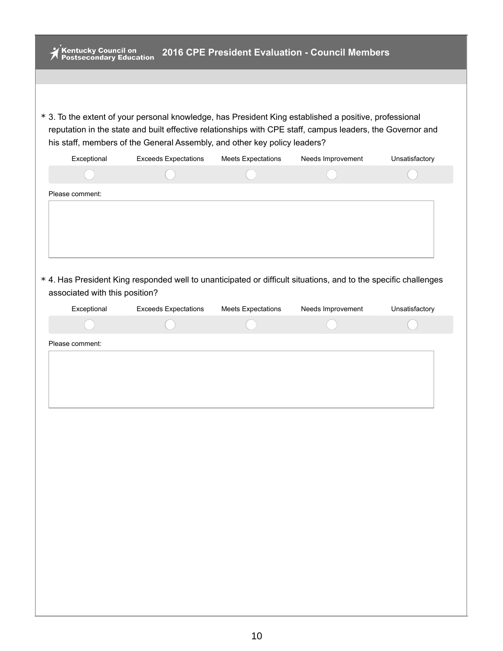| Kentucky Council on<br>Postsecondary Education |                                                                                                                                                                                                                                                                                                   |                           | 2016 CPE President Evaluation - Council Members |                |
|------------------------------------------------|---------------------------------------------------------------------------------------------------------------------------------------------------------------------------------------------------------------------------------------------------------------------------------------------------|---------------------------|-------------------------------------------------|----------------|
|                                                |                                                                                                                                                                                                                                                                                                   |                           |                                                 |                |
|                                                |                                                                                                                                                                                                                                                                                                   |                           |                                                 |                |
|                                                | * 3. To the extent of your personal knowledge, has President King established a positive, professional<br>reputation in the state and built effective relationships with CPE staff, campus leaders, the Governor and<br>his staff, members of the General Assembly, and other key policy leaders? |                           |                                                 |                |
| Exceptional                                    | <b>Exceeds Expectations</b>                                                                                                                                                                                                                                                                       | <b>Meets Expectations</b> | Needs Improvement                               | Unsatisfactory |
|                                                |                                                                                                                                                                                                                                                                                                   |                           |                                                 |                |
| Please comment:                                |                                                                                                                                                                                                                                                                                                   |                           |                                                 |                |
|                                                |                                                                                                                                                                                                                                                                                                   |                           |                                                 |                |
|                                                |                                                                                                                                                                                                                                                                                                   |                           |                                                 |                |
|                                                |                                                                                                                                                                                                                                                                                                   |                           |                                                 |                |
| associated with this position?                 | * 4. Has President King responded well to unanticipated or difficult situations, and to the specific challenges                                                                                                                                                                                   |                           |                                                 |                |
| Exceptional                                    | <b>Exceeds Expectations</b>                                                                                                                                                                                                                                                                       | <b>Meets Expectations</b> | Needs Improvement                               | Unsatisfactory |
|                                                |                                                                                                                                                                                                                                                                                                   |                           |                                                 |                |
|                                                |                                                                                                                                                                                                                                                                                                   |                           |                                                 |                |
| Please comment:                                |                                                                                                                                                                                                                                                                                                   |                           |                                                 |                |
|                                                |                                                                                                                                                                                                                                                                                                   |                           |                                                 |                |
|                                                |                                                                                                                                                                                                                                                                                                   |                           |                                                 |                |
|                                                |                                                                                                                                                                                                                                                                                                   |                           |                                                 |                |
|                                                |                                                                                                                                                                                                                                                                                                   |                           |                                                 |                |
|                                                |                                                                                                                                                                                                                                                                                                   |                           |                                                 |                |
|                                                |                                                                                                                                                                                                                                                                                                   |                           |                                                 |                |
|                                                |                                                                                                                                                                                                                                                                                                   |                           |                                                 |                |
|                                                |                                                                                                                                                                                                                                                                                                   |                           |                                                 |                |
|                                                |                                                                                                                                                                                                                                                                                                   |                           |                                                 |                |
|                                                |                                                                                                                                                                                                                                                                                                   |                           |                                                 |                |
|                                                |                                                                                                                                                                                                                                                                                                   |                           |                                                 |                |
|                                                |                                                                                                                                                                                                                                                                                                   |                           |                                                 |                |
|                                                |                                                                                                                                                                                                                                                                                                   |                           |                                                 |                |
|                                                |                                                                                                                                                                                                                                                                                                   |                           |                                                 |                |
|                                                |                                                                                                                                                                                                                                                                                                   |                           |                                                 |                |
|                                                |                                                                                                                                                                                                                                                                                                   |                           |                                                 |                |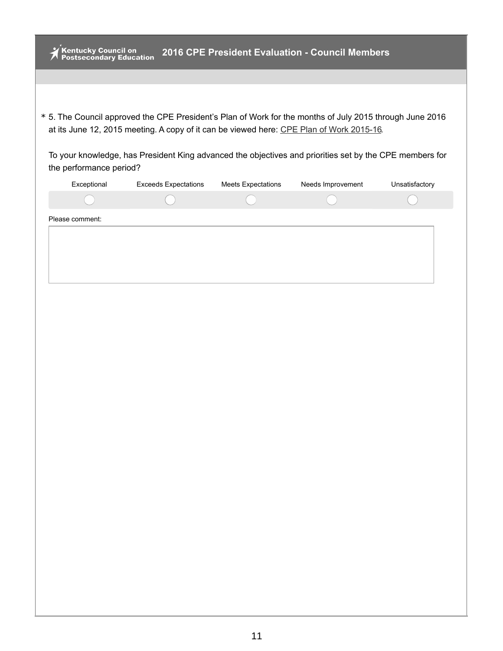| <b>Kentucky Council on<br/>Postsecondary Education</b> |                                                                                                                                                                                                      |                           | 2016 CPE President Evaluation - Council Members |                |
|--------------------------------------------------------|------------------------------------------------------------------------------------------------------------------------------------------------------------------------------------------------------|---------------------------|-------------------------------------------------|----------------|
|                                                        |                                                                                                                                                                                                      |                           |                                                 |                |
|                                                        |                                                                                                                                                                                                      |                           |                                                 |                |
|                                                        | * 5. The Council approved the CPE President's Plan of Work for the months of July 2015 through June 2016<br>at its June 12, 2015 meeting. A copy of it can be viewed here: CPE Plan of Work 2015-16. |                           |                                                 |                |
|                                                        |                                                                                                                                                                                                      |                           |                                                 |                |
| the performance period?                                | To your knowledge, has President King advanced the objectives and priorities set by the CPE members for                                                                                              |                           |                                                 |                |
| Exceptional                                            | <b>Exceeds Expectations</b>                                                                                                                                                                          | <b>Meets Expectations</b> | Needs Improvement                               | Unsatisfactory |
|                                                        |                                                                                                                                                                                                      |                           |                                                 |                |
| Please comment:                                        |                                                                                                                                                                                                      |                           |                                                 |                |
|                                                        |                                                                                                                                                                                                      |                           |                                                 |                |
|                                                        |                                                                                                                                                                                                      |                           |                                                 |                |
|                                                        |                                                                                                                                                                                                      |                           |                                                 |                |
|                                                        |                                                                                                                                                                                                      |                           |                                                 |                |
|                                                        |                                                                                                                                                                                                      |                           |                                                 |                |
|                                                        |                                                                                                                                                                                                      |                           |                                                 |                |
|                                                        |                                                                                                                                                                                                      |                           |                                                 |                |
|                                                        |                                                                                                                                                                                                      |                           |                                                 |                |
|                                                        |                                                                                                                                                                                                      |                           |                                                 |                |
|                                                        |                                                                                                                                                                                                      |                           |                                                 |                |
|                                                        |                                                                                                                                                                                                      |                           |                                                 |                |
|                                                        |                                                                                                                                                                                                      |                           |                                                 |                |
|                                                        |                                                                                                                                                                                                      |                           |                                                 |                |
|                                                        |                                                                                                                                                                                                      |                           |                                                 |                |
|                                                        |                                                                                                                                                                                                      |                           |                                                 |                |
|                                                        |                                                                                                                                                                                                      |                           |                                                 |                |
|                                                        |                                                                                                                                                                                                      |                           |                                                 |                |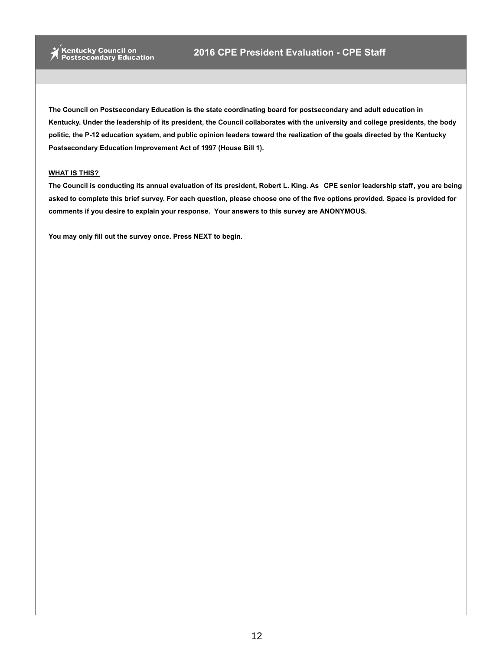#### **WHAT IS THIS?**

The Council is conducting its annual evaluation of its president, Robert L. King. As CPE senior leadership staff, you are being asked to complete this brief survey. For each question, please choose one of the five options provided. Space is provided for **comments if you desire to explain your response. Your answers to this survey are ANONYMOUS.**

**You may only fill out the survey once. Press NEXT to begin.**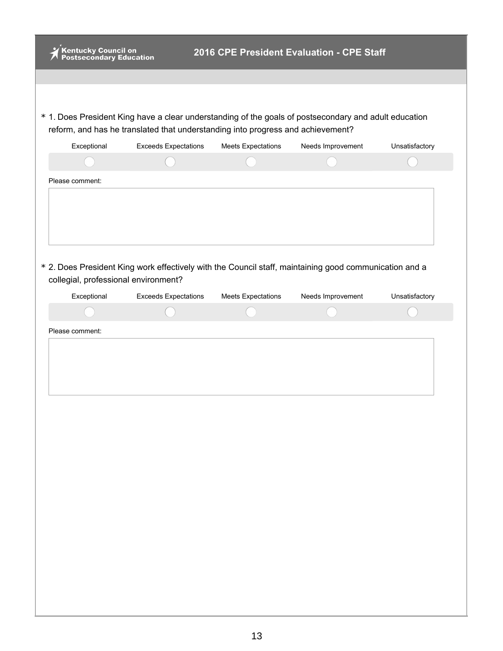| * 1. Does President King have a clear understanding of the goals of postsecondary and adult education<br>reform, and has he translated that understanding into progress and achievement?<br>Needs Improvement<br>Exceptional<br><b>Exceeds Expectations</b><br><b>Meets Expectations</b><br>Unsatisfactory<br>Please comment:<br>* 2. Does President King work effectively with the Council staff, maintaining good communication and a<br>collegial, professional environment?<br>Exceptional<br><b>Exceeds Expectations</b><br>Needs Improvement<br>Unsatisfactory<br><b>Meets Expectations</b><br>Please comment: | <b>Mentucky Council on<br/>Postsecondary Education</b> |  | 2016 CPE President Evaluation - CPE Staff |  |
|----------------------------------------------------------------------------------------------------------------------------------------------------------------------------------------------------------------------------------------------------------------------------------------------------------------------------------------------------------------------------------------------------------------------------------------------------------------------------------------------------------------------------------------------------------------------------------------------------------------------|--------------------------------------------------------|--|-------------------------------------------|--|
|                                                                                                                                                                                                                                                                                                                                                                                                                                                                                                                                                                                                                      |                                                        |  |                                           |  |
|                                                                                                                                                                                                                                                                                                                                                                                                                                                                                                                                                                                                                      |                                                        |  |                                           |  |
|                                                                                                                                                                                                                                                                                                                                                                                                                                                                                                                                                                                                                      |                                                        |  |                                           |  |
|                                                                                                                                                                                                                                                                                                                                                                                                                                                                                                                                                                                                                      |                                                        |  |                                           |  |
|                                                                                                                                                                                                                                                                                                                                                                                                                                                                                                                                                                                                                      |                                                        |  |                                           |  |
|                                                                                                                                                                                                                                                                                                                                                                                                                                                                                                                                                                                                                      |                                                        |  |                                           |  |
|                                                                                                                                                                                                                                                                                                                                                                                                                                                                                                                                                                                                                      |                                                        |  |                                           |  |
|                                                                                                                                                                                                                                                                                                                                                                                                                                                                                                                                                                                                                      |                                                        |  |                                           |  |
|                                                                                                                                                                                                                                                                                                                                                                                                                                                                                                                                                                                                                      |                                                        |  |                                           |  |
|                                                                                                                                                                                                                                                                                                                                                                                                                                                                                                                                                                                                                      |                                                        |  |                                           |  |
|                                                                                                                                                                                                                                                                                                                                                                                                                                                                                                                                                                                                                      |                                                        |  |                                           |  |
|                                                                                                                                                                                                                                                                                                                                                                                                                                                                                                                                                                                                                      |                                                        |  |                                           |  |
|                                                                                                                                                                                                                                                                                                                                                                                                                                                                                                                                                                                                                      |                                                        |  |                                           |  |
|                                                                                                                                                                                                                                                                                                                                                                                                                                                                                                                                                                                                                      |                                                        |  |                                           |  |
|                                                                                                                                                                                                                                                                                                                                                                                                                                                                                                                                                                                                                      |                                                        |  |                                           |  |
|                                                                                                                                                                                                                                                                                                                                                                                                                                                                                                                                                                                                                      |                                                        |  |                                           |  |
|                                                                                                                                                                                                                                                                                                                                                                                                                                                                                                                                                                                                                      |                                                        |  |                                           |  |
|                                                                                                                                                                                                                                                                                                                                                                                                                                                                                                                                                                                                                      |                                                        |  |                                           |  |
|                                                                                                                                                                                                                                                                                                                                                                                                                                                                                                                                                                                                                      |                                                        |  |                                           |  |
|                                                                                                                                                                                                                                                                                                                                                                                                                                                                                                                                                                                                                      |                                                        |  |                                           |  |
|                                                                                                                                                                                                                                                                                                                                                                                                                                                                                                                                                                                                                      |                                                        |  |                                           |  |
|                                                                                                                                                                                                                                                                                                                                                                                                                                                                                                                                                                                                                      |                                                        |  |                                           |  |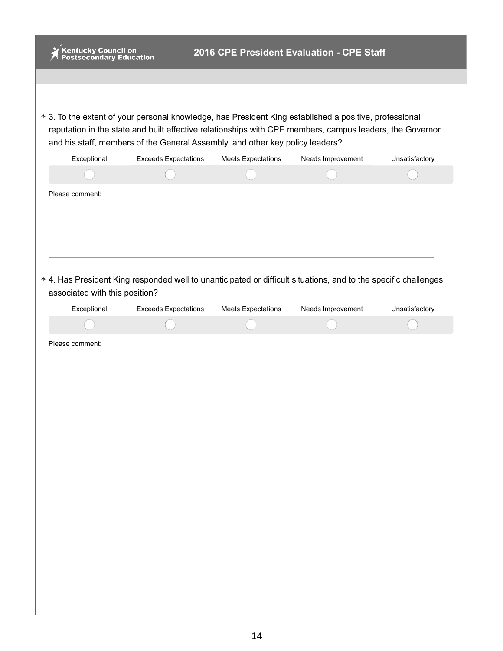| <b>Kentucky Council on<br/>Postsecondary Education</b> |                                                                                                                                                                                           |                           | 2016 CPE President Evaluation - CPE Staff |                |
|--------------------------------------------------------|-------------------------------------------------------------------------------------------------------------------------------------------------------------------------------------------|---------------------------|-------------------------------------------|----------------|
|                                                        |                                                                                                                                                                                           |                           |                                           |                |
|                                                        |                                                                                                                                                                                           |                           |                                           |                |
|                                                        | * 3. To the extent of your personal knowledge, has President King established a positive, professional                                                                                    |                           |                                           |                |
|                                                        | reputation in the state and built effective relationships with CPE members, campus leaders, the Governor<br>and his staff, members of the General Assembly, and other key policy leaders? |                           |                                           |                |
| Exceptional                                            | <b>Exceeds Expectations</b>                                                                                                                                                               | <b>Meets Expectations</b> | Needs Improvement                         | Unsatisfactory |
|                                                        |                                                                                                                                                                                           |                           |                                           |                |
| Please comment:                                        |                                                                                                                                                                                           |                           |                                           |                |
| associated with this position?                         | * 4. Has President King responded well to unanticipated or difficult situations, and to the specific challenges                                                                           |                           |                                           |                |
| Exceptional                                            | <b>Exceeds Expectations</b>                                                                                                                                                               | <b>Meets Expectations</b> | Needs Improvement                         | Unsatisfactory |
|                                                        |                                                                                                                                                                                           |                           |                                           |                |
|                                                        |                                                                                                                                                                                           |                           |                                           |                |
| Please comment:                                        |                                                                                                                                                                                           |                           |                                           |                |
|                                                        |                                                                                                                                                                                           |                           |                                           |                |
|                                                        |                                                                                                                                                                                           |                           |                                           |                |
|                                                        |                                                                                                                                                                                           |                           |                                           |                |
|                                                        |                                                                                                                                                                                           |                           |                                           |                |
|                                                        |                                                                                                                                                                                           |                           |                                           |                |
|                                                        |                                                                                                                                                                                           |                           |                                           |                |
|                                                        |                                                                                                                                                                                           |                           |                                           |                |
|                                                        |                                                                                                                                                                                           |                           |                                           |                |
|                                                        |                                                                                                                                                                                           |                           |                                           |                |
|                                                        |                                                                                                                                                                                           |                           |                                           |                |
|                                                        |                                                                                                                                                                                           |                           |                                           |                |
|                                                        |                                                                                                                                                                                           |                           |                                           |                |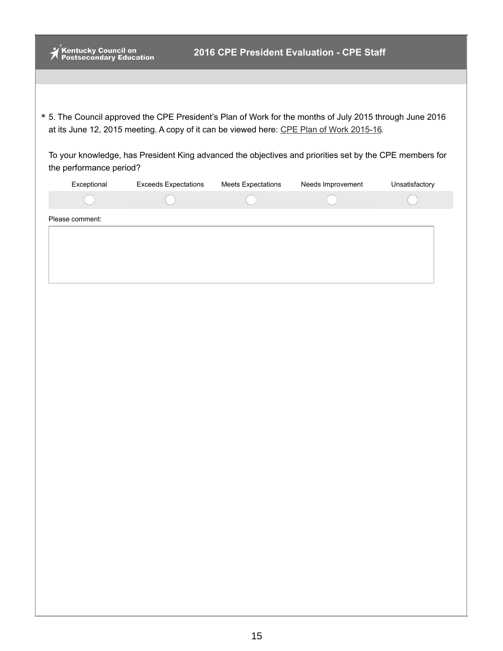|                 | Kentucky Council on<br>Postsecondary Education |                             |                           | 2016 CPE President Evaluation - CPE Staff                                                                                                                                                            |                |
|-----------------|------------------------------------------------|-----------------------------|---------------------------|------------------------------------------------------------------------------------------------------------------------------------------------------------------------------------------------------|----------------|
|                 |                                                |                             |                           |                                                                                                                                                                                                      |                |
|                 |                                                |                             |                           |                                                                                                                                                                                                      |                |
|                 |                                                |                             |                           | * 5. The Council approved the CPE President's Plan of Work for the months of July 2015 through June 2016<br>at its June 12, 2015 meeting. A copy of it can be viewed here: CPE Plan of Work 2015-16. |                |
|                 | the performance period?                        |                             |                           | To your knowledge, has President King advanced the objectives and priorities set by the CPE members for                                                                                              |                |
|                 | Exceptional                                    | <b>Exceeds Expectations</b> | <b>Meets Expectations</b> | Needs Improvement                                                                                                                                                                                    | Unsatisfactory |
|                 |                                                |                             |                           |                                                                                                                                                                                                      |                |
| Please comment: |                                                |                             |                           |                                                                                                                                                                                                      |                |
|                 |                                                |                             |                           |                                                                                                                                                                                                      |                |
|                 |                                                |                             |                           |                                                                                                                                                                                                      |                |
|                 |                                                |                             |                           |                                                                                                                                                                                                      |                |
|                 |                                                |                             |                           |                                                                                                                                                                                                      |                |
|                 |                                                |                             |                           |                                                                                                                                                                                                      |                |
|                 |                                                |                             |                           |                                                                                                                                                                                                      |                |
|                 |                                                |                             |                           |                                                                                                                                                                                                      |                |
|                 |                                                |                             |                           |                                                                                                                                                                                                      |                |
|                 |                                                |                             |                           |                                                                                                                                                                                                      |                |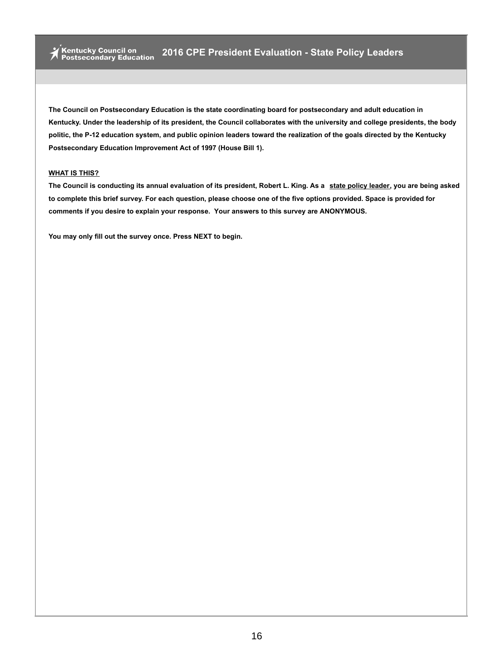#### **WHAT IS THIS?**

The Council is conducting its annual evaluation of its president, Robert L. King. As a state policy leader, you are being asked to complete this brief survey. For each question, please choose one of the five options provided. Space is provided for **comments if you desire to explain your response. Your answers to this survey are ANONYMOUS.**

**You may only fill out the survey once. Press NEXT to begin.**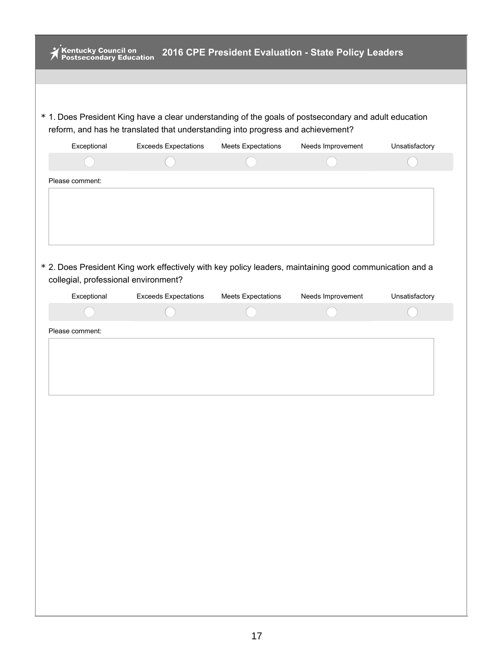| Please comment:<br>* 2. Does President King work effectively with key policy leaders, maintaining good communication and a<br>collegial, professional environment?<br>Needs Improvement<br>Exceptional<br><b>Exceeds Expectations</b><br><b>Meets Expectations</b> |                 | * 1. Does President King have a clear understanding of the goals of postsecondary and adult education<br>reform, and has he translated that understanding into progress and achievement? |                           |                   |                |
|--------------------------------------------------------------------------------------------------------------------------------------------------------------------------------------------------------------------------------------------------------------------|-----------------|------------------------------------------------------------------------------------------------------------------------------------------------------------------------------------------|---------------------------|-------------------|----------------|
|                                                                                                                                                                                                                                                                    | Exceptional     | <b>Exceeds Expectations</b>                                                                                                                                                              | <b>Meets Expectations</b> | Needs Improvement | Unsatisfactory |
| Unsatisfactory                                                                                                                                                                                                                                                     |                 |                                                                                                                                                                                          |                           |                   |                |
|                                                                                                                                                                                                                                                                    |                 |                                                                                                                                                                                          |                           |                   |                |
|                                                                                                                                                                                                                                                                    |                 |                                                                                                                                                                                          |                           |                   |                |
|                                                                                                                                                                                                                                                                    |                 |                                                                                                                                                                                          |                           |                   |                |
|                                                                                                                                                                                                                                                                    |                 |                                                                                                                                                                                          |                           |                   |                |
|                                                                                                                                                                                                                                                                    | Please comment: |                                                                                                                                                                                          |                           |                   |                |
|                                                                                                                                                                                                                                                                    |                 |                                                                                                                                                                                          |                           |                   |                |
|                                                                                                                                                                                                                                                                    |                 |                                                                                                                                                                                          |                           |                   |                |
|                                                                                                                                                                                                                                                                    |                 |                                                                                                                                                                                          |                           |                   |                |
|                                                                                                                                                                                                                                                                    |                 |                                                                                                                                                                                          |                           |                   |                |
|                                                                                                                                                                                                                                                                    |                 |                                                                                                                                                                                          |                           |                   |                |
|                                                                                                                                                                                                                                                                    |                 |                                                                                                                                                                                          |                           |                   |                |
|                                                                                                                                                                                                                                                                    |                 |                                                                                                                                                                                          |                           |                   |                |
|                                                                                                                                                                                                                                                                    |                 |                                                                                                                                                                                          |                           |                   |                |
|                                                                                                                                                                                                                                                                    |                 |                                                                                                                                                                                          |                           |                   |                |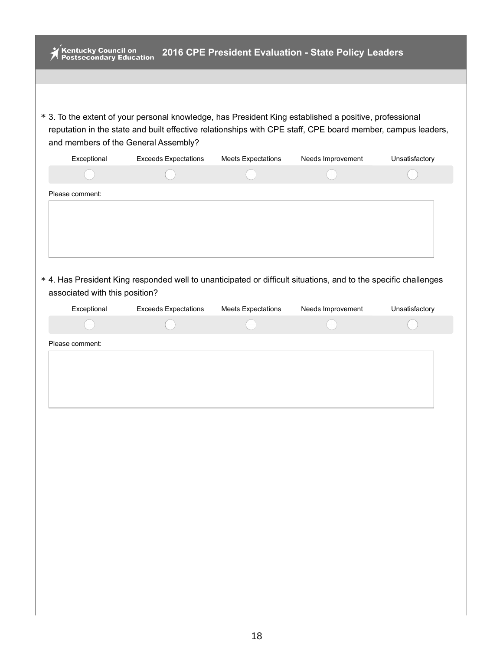| Kentucky Council on<br>Postsecondary Education<br>2016 CPE President Evaluation - State Policy Leaders |                             |                           |                                                                                                                                                                                                                       |                |  |  |  |
|--------------------------------------------------------------------------------------------------------|-----------------------------|---------------------------|-----------------------------------------------------------------------------------------------------------------------------------------------------------------------------------------------------------------------|----------------|--|--|--|
|                                                                                                        |                             |                           |                                                                                                                                                                                                                       |                |  |  |  |
|                                                                                                        |                             |                           |                                                                                                                                                                                                                       |                |  |  |  |
| and members of the General Assembly?                                                                   |                             |                           | * 3. To the extent of your personal knowledge, has President King established a positive, professional<br>reputation in the state and built effective relationships with CPE staff, CPE board member, campus leaders, |                |  |  |  |
| Exceptional                                                                                            | <b>Exceeds Expectations</b> | <b>Meets Expectations</b> | Needs Improvement                                                                                                                                                                                                     | Unsatisfactory |  |  |  |
|                                                                                                        |                             |                           |                                                                                                                                                                                                                       |                |  |  |  |
| Please comment:                                                                                        |                             |                           |                                                                                                                                                                                                                       |                |  |  |  |
| associated with this position?                                                                         |                             |                           | * 4. Has President King responded well to unanticipated or difficult situations, and to the specific challenges                                                                                                       |                |  |  |  |
| Exceptional                                                                                            | <b>Exceeds Expectations</b> | <b>Meets Expectations</b> | Needs Improvement                                                                                                                                                                                                     | Unsatisfactory |  |  |  |
|                                                                                                        |                             |                           |                                                                                                                                                                                                                       |                |  |  |  |
| Please comment:                                                                                        |                             |                           |                                                                                                                                                                                                                       |                |  |  |  |
|                                                                                                        |                             |                           |                                                                                                                                                                                                                       |                |  |  |  |
|                                                                                                        |                             |                           |                                                                                                                                                                                                                       |                |  |  |  |
|                                                                                                        |                             |                           |                                                                                                                                                                                                                       |                |  |  |  |
|                                                                                                        |                             |                           |                                                                                                                                                                                                                       |                |  |  |  |
|                                                                                                        |                             |                           |                                                                                                                                                                                                                       |                |  |  |  |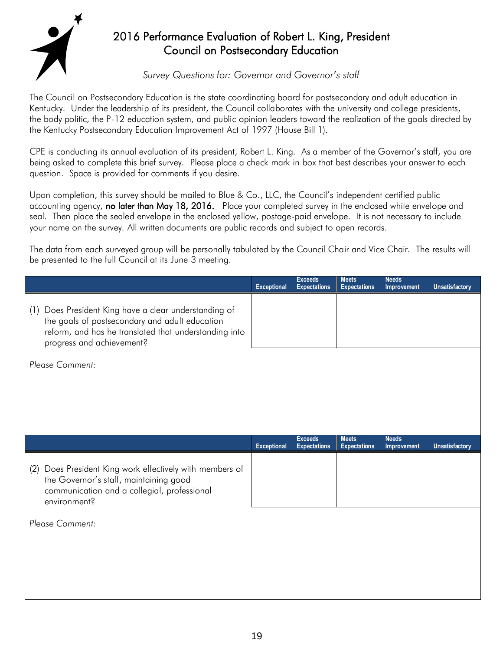

# 2016 Performance Evaluation of Robert L. King, President Council on Postsecondary Education

# *Survey Questions for: Governor and Governor's staff*

The Council on Postsecondary Education is the state coordinating board for postsecondary and adult education in Kentucky. Under the leadership of its president, the Council collaborates with the university and college presidents, the body politic, the P-12 education system, and public opinion leaders toward the realization of the goals directed by the Kentucky Postsecondary Education Improvement Act of 1997 (House Bill 1).

CPE is conducting its annual evaluation of its president, Robert L. King. As a member of the Governor's staff, you are being asked to complete this brief survey. Please place a check mark in box that best describes your answer to each question. Space is provided for comments if you desire.

Upon completion, this survey should be mailed to Blue & Co., LLC, the Council's independent certified public accounting agency, no later than May 18, 2016. Place your completed survey in the enclosed white envelope and seal. Then place the sealed envelope in the enclosed yellow, postage-paid envelope. It is not necessary to include your name on the survey. All written documents are public records and subject to open records.

The data from each surveyed group will be personally tabulated by the Council Chair and Vice Chair. The results will be presented to the full Council at its June 3 meeting.

|                                                                                                                                                                                               | <b>Exceptional</b> | <b>Exceeds</b><br><b>Expectations</b> | <b>Meets</b><br><b>Expectations</b> | <b>Needs</b><br>Improvement | <b>Unsatisfactory</b> |
|-----------------------------------------------------------------------------------------------------------------------------------------------------------------------------------------------|--------------------|---------------------------------------|-------------------------------------|-----------------------------|-----------------------|
| (1) Does President King have a clear understanding of<br>the goals of postsecondary and adult education<br>reform, and has he translated that understanding into<br>progress and achievement? |                    |                                       |                                     |                             |                       |
| Please Comment:                                                                                                                                                                               |                    |                                       |                                     |                             |                       |
|                                                                                                                                                                                               |                    |                                       |                                     |                             |                       |
|                                                                                                                                                                                               |                    |                                       |                                     |                             |                       |
|                                                                                                                                                                                               | Exceptional        | <b>Exceeds</b><br><b>Expectations</b> | <b>Meets</b><br><b>Expectations</b> | <b>Needs</b><br>Improvement | <b>Unsatisfactory</b> |
| (2) Does President King work effectively with members of<br>the Governor's staff, maintaining good<br>communication and a collegial, professional<br>environment?                             |                    |                                       |                                     |                             |                       |
| Please Comment:                                                                                                                                                                               |                    |                                       |                                     |                             |                       |
|                                                                                                                                                                                               |                    |                                       |                                     |                             |                       |
|                                                                                                                                                                                               |                    |                                       |                                     |                             |                       |
|                                                                                                                                                                                               |                    |                                       |                                     |                             |                       |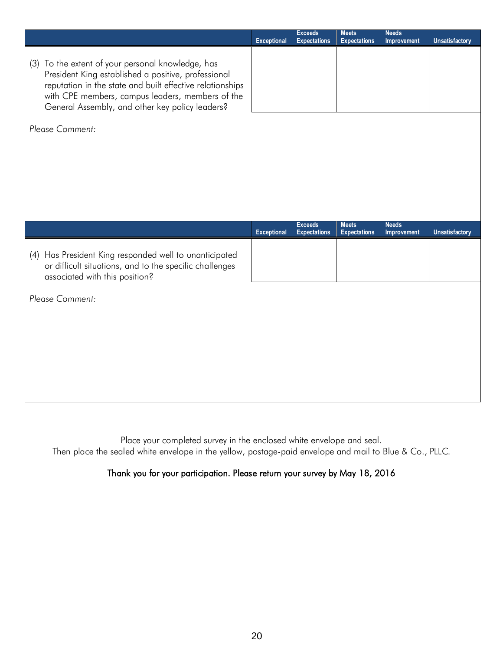|                                                                                                                                                                                                                                                                              | Exceptional | <b>Exceeds</b><br><b>Expectations</b> | <b>Meets</b><br><b>Expectations</b> | <b>Needs</b><br>Improvement | <b>Unsatisfactory</b> |
|------------------------------------------------------------------------------------------------------------------------------------------------------------------------------------------------------------------------------------------------------------------------------|-------------|---------------------------------------|-------------------------------------|-----------------------------|-----------------------|
| (3) To the extent of your personal knowledge, has<br>President King established a positive, professional<br>reputation in the state and built effective relationships<br>with CPE members, campus leaders, members of the<br>General Assembly, and other key policy leaders? |             |                                       |                                     |                             |                       |
| Please Comment:                                                                                                                                                                                                                                                              |             |                                       |                                     |                             |                       |
|                                                                                                                                                                                                                                                                              |             |                                       |                                     |                             |                       |
|                                                                                                                                                                                                                                                                              |             |                                       |                                     |                             |                       |
|                                                                                                                                                                                                                                                                              |             |                                       |                                     |                             |                       |
|                                                                                                                                                                                                                                                                              |             |                                       |                                     |                             |                       |
|                                                                                                                                                                                                                                                                              |             |                                       |                                     |                             |                       |
|                                                                                                                                                                                                                                                                              | Exceptional | <b>Exceeds</b><br><b>Expectations</b> | <b>Meets</b><br><b>Expectations</b> | <b>Needs</b><br>Improvement | Unsatisfactory        |
| (4) Has President King responded well to unanticipated<br>or difficult situations, and to the specific challenges<br>associated with this position?                                                                                                                          |             |                                       |                                     |                             |                       |
| Please Comment:                                                                                                                                                                                                                                                              |             |                                       |                                     |                             |                       |
|                                                                                                                                                                                                                                                                              |             |                                       |                                     |                             |                       |
|                                                                                                                                                                                                                                                                              |             |                                       |                                     |                             |                       |
|                                                                                                                                                                                                                                                                              |             |                                       |                                     |                             |                       |

Place your completed survey in the enclosed white envelope and seal. Then place the sealed white envelope in the yellow, postage-paid envelope and mail to Blue & Co., PLLC.

# Thank you for your participation. Please return your survey by May 18, 2016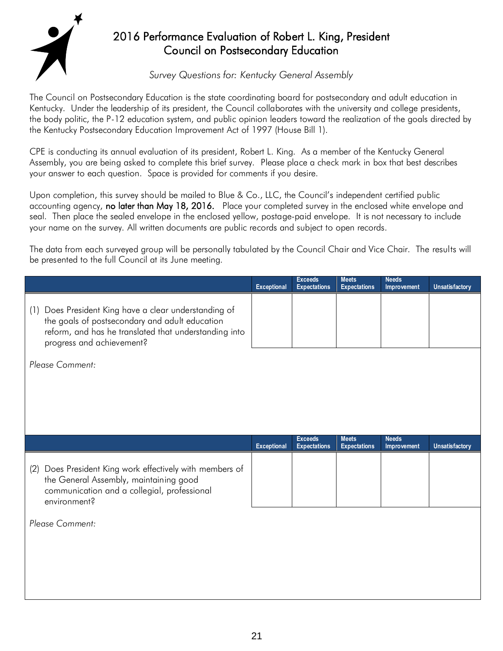

# 2016 Performance Evaluation of Robert L. King, President Council on Postsecondary Education

# *Survey Questions for: Kentucky General Assembly*

The Council on Postsecondary Education is the state coordinating board for postsecondary and adult education in Kentucky. Under the leadership of its president, the Council collaborates with the university and college presidents, the body politic, the P-12 education system, and public opinion leaders toward the realization of the goals directed by the Kentucky Postsecondary Education Improvement Act of 1997 (House Bill 1).

CPE is conducting its annual evaluation of its president, Robert L. King. As a member of the Kentucky General Assembly, you are being asked to complete this brief survey. Please place a check mark in box that best describes your answer to each question. Space is provided for comments if you desire.

Upon completion, this survey should be mailed to Blue & Co., LLC, the Council's independent certified public accounting agency, no later than May 18, 2016. Place your completed survey in the enclosed white envelope and seal. Then place the sealed envelope in the enclosed yellow, postage-paid envelope. It is not necessary to include your name on the survey. All written documents are public records and subject to open records.

The data from each surveyed group will be personally tabulated by the Council Chair and Vice Chair. The results will be presented to the full Council at its June meeting.

|                                                                                                                                                                                               | <b>Exceptional</b> | <b>Exceeds</b><br><b>Expectations</b> | <b>Meets</b><br><b>Expectations</b> | <b>Needs</b><br>Improvement | Unsatisfactory        |
|-----------------------------------------------------------------------------------------------------------------------------------------------------------------------------------------------|--------------------|---------------------------------------|-------------------------------------|-----------------------------|-----------------------|
| (1) Does President King have a clear understanding of<br>the goals of postsecondary and adult education<br>reform, and has he translated that understanding into<br>progress and achievement? |                    |                                       |                                     |                             |                       |
| Please Comment:                                                                                                                                                                               |                    |                                       |                                     |                             |                       |
|                                                                                                                                                                                               |                    |                                       |                                     |                             |                       |
|                                                                                                                                                                                               |                    |                                       |                                     |                             |                       |
|                                                                                                                                                                                               |                    |                                       |                                     |                             |                       |
|                                                                                                                                                                                               | <b>Exceptional</b> | <b>Exceeds</b><br><b>Expectations</b> | <b>Meets</b><br><b>Expectations</b> | <b>Needs</b><br>Improvement | <b>Unsatisfactory</b> |
| (2) Does President King work effectively with members of<br>the General Assembly, maintaining good<br>communication and a collegial, professional<br>environment?                             |                    |                                       |                                     |                             |                       |
| Please Comment:                                                                                                                                                                               |                    |                                       |                                     |                             |                       |
|                                                                                                                                                                                               |                    |                                       |                                     |                             |                       |
|                                                                                                                                                                                               |                    |                                       |                                     |                             |                       |
|                                                                                                                                                                                               |                    |                                       |                                     |                             |                       |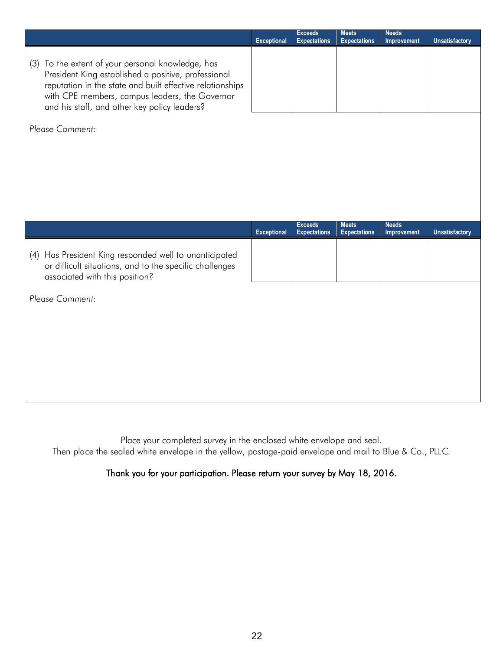|                                                                                                                                                                                                                                                                         | <b>Exceptional</b> | <b>Exceeds</b><br><b>Expectations</b> | <b>Meets</b><br><b>Expectations</b> | <b>Needs</b><br>Improvement | <b>Unsatisfactory</b> |
|-------------------------------------------------------------------------------------------------------------------------------------------------------------------------------------------------------------------------------------------------------------------------|--------------------|---------------------------------------|-------------------------------------|-----------------------------|-----------------------|
| (3) To the extent of your personal knowledge, has<br>President King established a positive, professional<br>reputation in the state and built effective relationships<br>with CPE members, campus leaders, the Governor<br>and his staff, and other key policy leaders? |                    |                                       |                                     |                             |                       |
| Please Comment:                                                                                                                                                                                                                                                         |                    |                                       |                                     |                             |                       |
|                                                                                                                                                                                                                                                                         |                    |                                       |                                     |                             |                       |
|                                                                                                                                                                                                                                                                         |                    |                                       |                                     |                             |                       |
|                                                                                                                                                                                                                                                                         |                    |                                       |                                     |                             |                       |
|                                                                                                                                                                                                                                                                         |                    |                                       |                                     |                             |                       |
|                                                                                                                                                                                                                                                                         | Exceptional        | <b>Exceeds</b><br><b>Expectations</b> | <b>Meets</b><br><b>Expectations</b> | <b>Needs</b><br>Improvement | Unsatisfactory        |
| (4) Has President King responded well to unanticipated<br>or difficult situations, and to the specific challenges<br>associated with this position?                                                                                                                     |                    |                                       |                                     |                             |                       |
| Please Comment:                                                                                                                                                                                                                                                         |                    |                                       |                                     |                             |                       |
|                                                                                                                                                                                                                                                                         |                    |                                       |                                     |                             |                       |
|                                                                                                                                                                                                                                                                         |                    |                                       |                                     |                             |                       |
|                                                                                                                                                                                                                                                                         |                    |                                       |                                     |                             |                       |
|                                                                                                                                                                                                                                                                         |                    |                                       |                                     |                             |                       |

Place your completed survey in the enclosed white envelope and seal. Then place the sealed white envelope in the yellow, postage-paid envelope and mail to Blue & Co., PLLC.

Thank you for your participation. Please return your survey by May 18, 2016.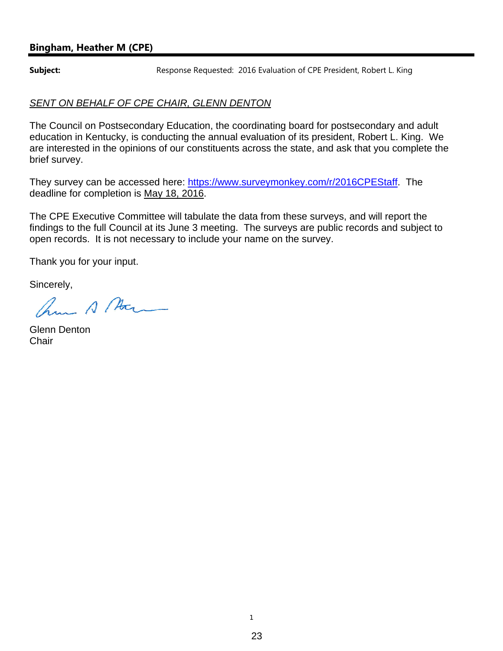## **Bingham, Heather M (CPE)**

**Subject:** Response Requested: 2016 Evaluation of CPE President, Robert L. King

## *SENT ON BEHALF OF CPE CHAIR, GLENN DENTON*

The Council on Postsecondary Education, the coordinating board for postsecondary and adult education in Kentucky, is conducting the annual evaluation of its president, Robert L. King. We are interested in the opinions of our constituents across the state, and ask that you complete the brief survey.

They survey can be accessed here: https://www.surveymonkey.com/r/2016CPEStaff. The deadline for completion is May 18, 2016.

The CPE Executive Committee will tabulate the data from these surveys, and will report the findings to the full Council at its June 3 meeting. The surveys are public records and subject to open records. It is not necessary to include your name on the survey.

Thank you for your input.

Sincerely,

ham A Mar

Glenn Denton **Chair**